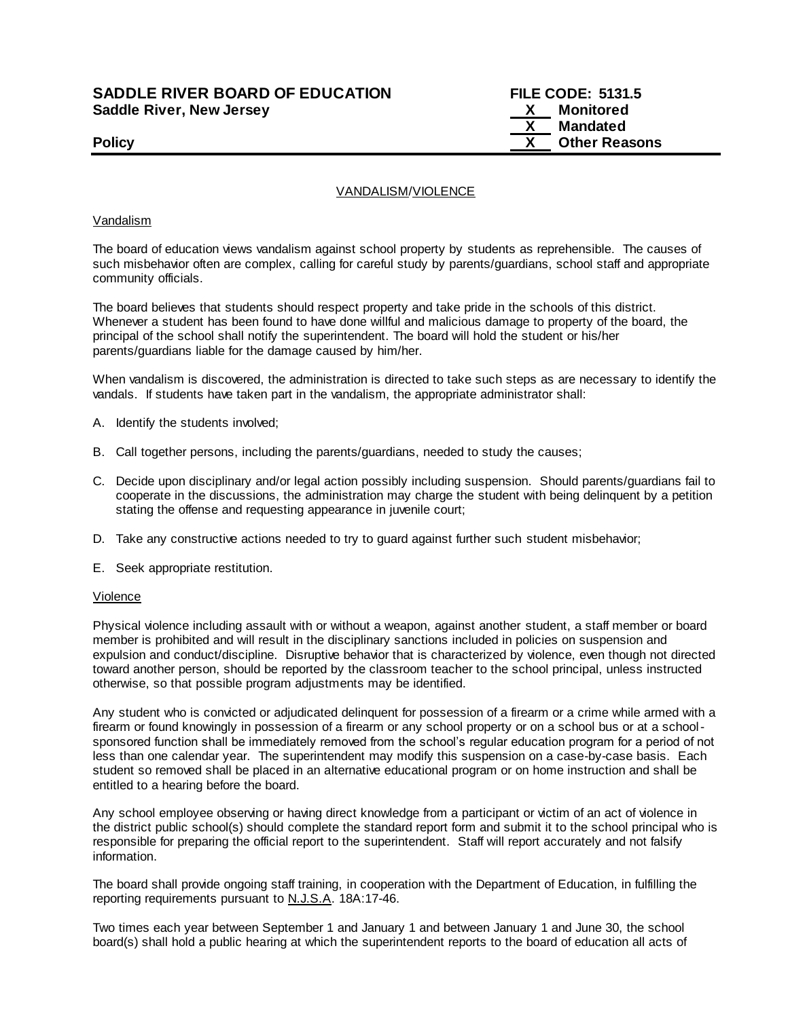## **SADDLE RIVER BOARD OF EDUCATION FILE CODE: 5131.5 Saddle River, New Jersey X Monitored**

 **X Mandated Policy COLLEGENS Policy COLLEGENS COLLEGENS COLLEGENS X** Other Reasons

#### VANDALISM/VIOLENCE

#### Vandalism

The board of education views vandalism against school property by students as reprehensible. The causes of such misbehavior often are complex, calling for careful study by parents/guardians, school staff and appropriate community officials.

The board believes that students should respect property and take pride in the schools of this district. Whenever a student has been found to have done willful and malicious damage to property of the board, the principal of the school shall notify the superintendent. The board will hold the student or his/her parents/guardians liable for the damage caused by him/her.

When vandalism is discovered, the administration is directed to take such steps as are necessary to identify the vandals. If students have taken part in the vandalism, the appropriate administrator shall:

- A. Identify the students involved;
- B. Call together persons, including the parents/guardians, needed to study the causes;
- C. Decide upon disciplinary and/or legal action possibly including suspension. Should parents/guardians fail to cooperate in the discussions, the administration may charge the student with being delinquent by a petition stating the offense and requesting appearance in juvenile court;
- D. Take any constructive actions needed to try to guard against further such student misbehavior;
- E. Seek appropriate restitution.

#### Violence

Physical violence including assault with or without a weapon, against another student, a staff member or board member is prohibited and will result in the disciplinary sanctions included in policies on suspension and expulsion and conduct/discipline. Disruptive behavior that is characterized by violence, even though not directed toward another person, should be reported by the classroom teacher to the school principal, unless instructed otherwise, so that possible program adjustments may be identified.

Any student who is convicted or adjudicated delinquent for possession of a firearm or a crime while armed with a firearm or found knowingly in possession of a firearm or any school property or on a school bus or at a schoolsponsored function shall be immediately removed from the school's regular education program for a period of not less than one calendar year. The superintendent may modify this suspension on a case-by-case basis. Each student so removed shall be placed in an alternative educational program or on home instruction and shall be entitled to a hearing before the board.

Any school employee observing or having direct knowledge from a participant or victim of an act of violence in the district public school(s) should complete the standard report form and submit it to the school principal who is responsible for preparing the official report to the superintendent. Staff will report accurately and not falsify information.

The board shall provide ongoing staff training, in cooperation with the Department of Education, in fulfilling the reporting requirements pursuant to N.J.S.A. 18A:17-46.

Two times each year between September 1 and January 1 and between January 1 and June 30, the school board(s) shall hold a public hearing at which the superintendent reports to the board of education all acts of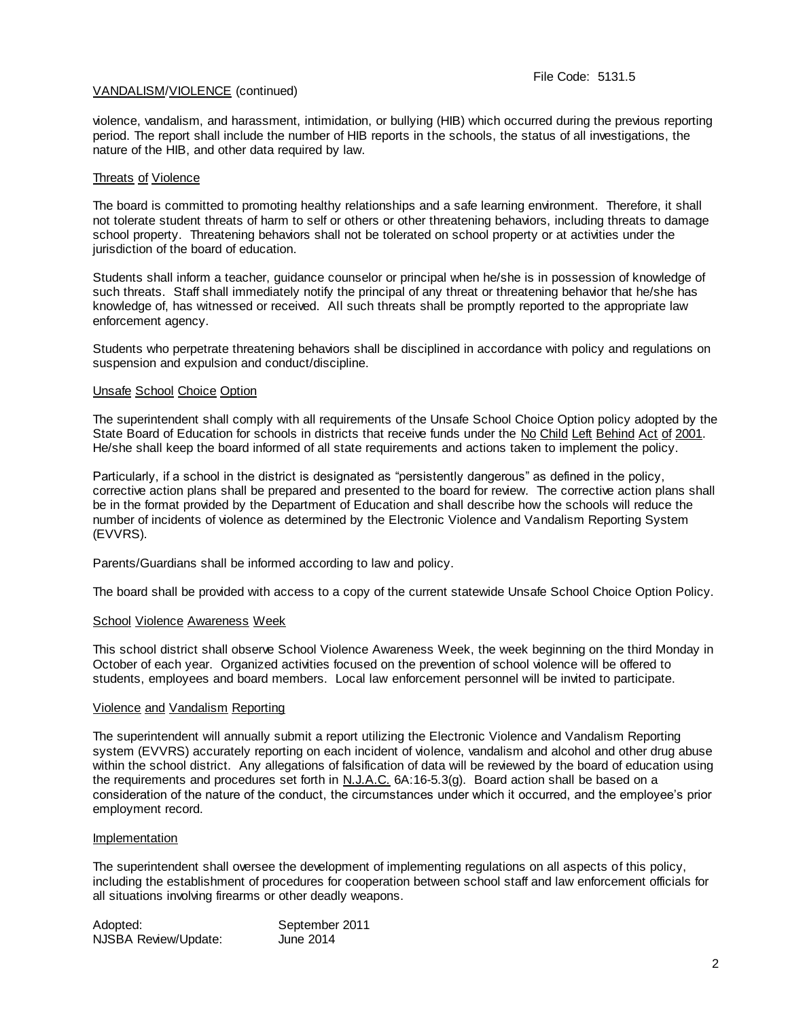#### VANDALISM/VIOLENCE (continued)

violence, vandalism, and harassment, intimidation, or bullying (HIB) which occurred during the previous reporting period. The report shall include the number of HIB reports in the schools, the status of all investigations, the nature of the HIB, and other data required by law.

#### Threats of Violence

The board is committed to promoting healthy relationships and a safe learning environment. Therefore, it shall not tolerate student threats of harm to self or others or other threatening behaviors, including threats to damage school property. Threatening behaviors shall not be tolerated on school property or at activities under the jurisdiction of the board of education.

Students shall inform a teacher, guidance counselor or principal when he/she is in possession of knowledge of such threats. Staff shall immediately notify the principal of any threat or threatening behavior that he/she has knowledge of, has witnessed or received. All such threats shall be promptly reported to the appropriate law enforcement agency.

Students who perpetrate threatening behaviors shall be disciplined in accordance with policy and regulations on suspension and expulsion and conduct/discipline.

#### Unsafe School Choice Option

The superintendent shall comply with all requirements of the Unsafe School Choice Option policy adopted by the State Board of Education for schools in districts that receive funds under the No Child Left Behind Act of 2001. He/she shall keep the board informed of all state requirements and actions taken to implement the policy.

Particularly, if a school in the district is designated as "persistently dangerous" as defined in the policy, corrective action plans shall be prepared and presented to the board for review. The corrective action plans shall be in the format provided by the Department of Education and shall describe how the schools will reduce the number of incidents of violence as determined by the Electronic Violence and Vandalism Reporting System (EVVRS).

Parents/Guardians shall be informed according to law and policy.

The board shall be provided with access to a copy of the current statewide Unsafe School Choice Option Policy.

#### School Violence Awareness Week

This school district shall observe School Violence Awareness Week, the week beginning on the third Monday in October of each year. Organized activities focused on the prevention of school violence will be offered to students, employees and board members. Local law enforcement personnel will be invited to participate.

#### Violence and Vandalism Reporting

The superintendent will annually submit a report utilizing the Electronic Violence and Vandalism Reporting system (EVVRS) accurately reporting on each incident of violence, vandalism and alcohol and other drug abuse within the school district. Any allegations of falsification of data will be reviewed by the board of education using the requirements and procedures set forth in N.J.A.C. 6A:16-5.3(g). Board action shall be based on a consideration of the nature of the conduct, the circumstances under which it occurred, and the employee's prior employment record.

#### Implementation

The superintendent shall oversee the development of implementing regulations on all aspects of this policy, including the establishment of procedures for cooperation between school staff and law enforcement officials for all situations involving firearms or other deadly weapons.

| Adopted:             | September 2011 |
|----------------------|----------------|
| NJSBA Review/Update: | June 2014      |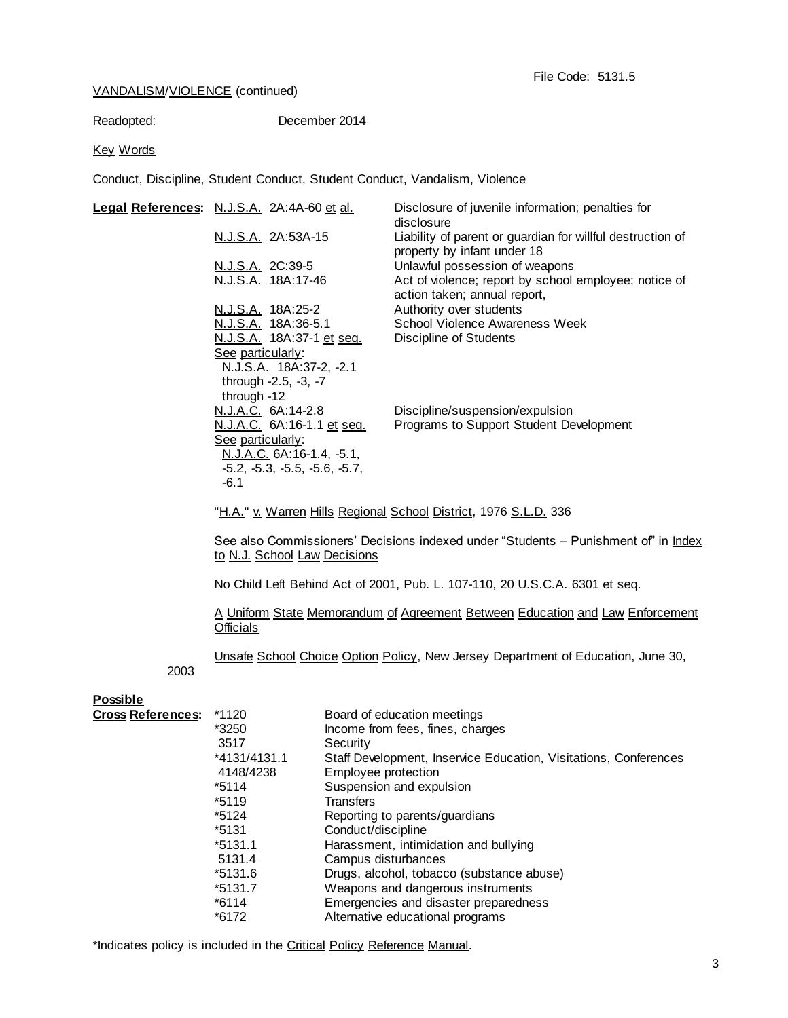### VANDALISM/VIOLENCE (continued)

Readopted: December 2014

#### Key Words

Conduct, Discipline, Student Conduct, Student Conduct, Vandalism, Violence

| Legal References: N.J.S.A. 2A:4A-60 et al. | Disclosure of juvenile information; penalties for<br>disclosure                           |
|--------------------------------------------|-------------------------------------------------------------------------------------------|
| N.J.S.A. 2A:53A-15                         | Liability of parent or guardian for willful destruction of<br>property by infant under 18 |
| N.J.S.A. 2C:39-5                           | Unlawful possession of weapons                                                            |
| N.J.S.A. 18A:17-46                         | Act of violence; report by school employee; notice of<br>action taken; annual report,     |
| N.J.S.A. 18A:25-2                          | Authority over students                                                                   |
| N.J.S.A. 18A:36-5.1                        | School Violence Awareness Week                                                            |
| N.J.S.A. 18A:37-1 et seq.                  | <b>Discipline of Students</b>                                                             |
| See particularly:                          |                                                                                           |
| N.J.S.A. 18A:37-2, -2.1                    |                                                                                           |
| through -2.5, -3, -7                       |                                                                                           |
| through -12                                |                                                                                           |
| N.J.A.C. 6A:14-2.8                         | Discipline/suspension/expulsion                                                           |
| <u>N.J.A.C.</u> 6A:16-1.1 et seq.          | Programs to Support Student Development                                                   |
| See particularly:                          |                                                                                           |
| N.J.A.C. 6A:16-1.4, -5.1,                  |                                                                                           |
| $-5.2, -5.3, -5.5, -5.6, -5.7,$            |                                                                                           |
| -6.1                                       |                                                                                           |

"H.A." v. Warren Hills Regional School District, 1976 S.L.D. 336

See also Commissioners' Decisions indexed under "Students - Punishment of" in Index to N.J. School Law Decisions

No Child Left Behind Act of 2001, Pub. L. 107-110, 20 U.S.C.A. 6301 et seq.

A Uniform State Memorandum of Agreement Between Education and Law Enforcement **Officials** 

Unsafe School Choice Option Policy, New Jersey Department of Education, June 30,

2003

| <b>Possible</b>          |              |                                                                  |
|--------------------------|--------------|------------------------------------------------------------------|
| <b>Cross References:</b> | *1120        | Board of education meetings                                      |
|                          | *3250        | Income from fees, fines, charges                                 |
|                          | 3517         | Security                                                         |
|                          | *4131/4131.1 | Staff Development, Inservice Education, Visitations, Conferences |
|                          | 4148/4238    | Employee protection                                              |
|                          | *5114        | Suspension and expulsion                                         |
|                          | $*5119$      | Transfers                                                        |
|                          | $*5124$      | Reporting to parents/guardians                                   |
|                          | $*5131$      | Conduct/discipline                                               |
|                          | *5131.1      | Harassment, intimidation and bullying                            |
|                          | 5131.4       | Campus disturbances                                              |
|                          | *5131.6      | Drugs, alcohol, tobacco (substance abuse)                        |
|                          | *5131.7      | Weapons and dangerous instruments                                |
|                          | $*6114$      | Emergencies and disaster preparedness                            |
|                          | *6172        | Alternative educational programs                                 |

\*Indicates policy is included in the Critical Policy Reference Manual.